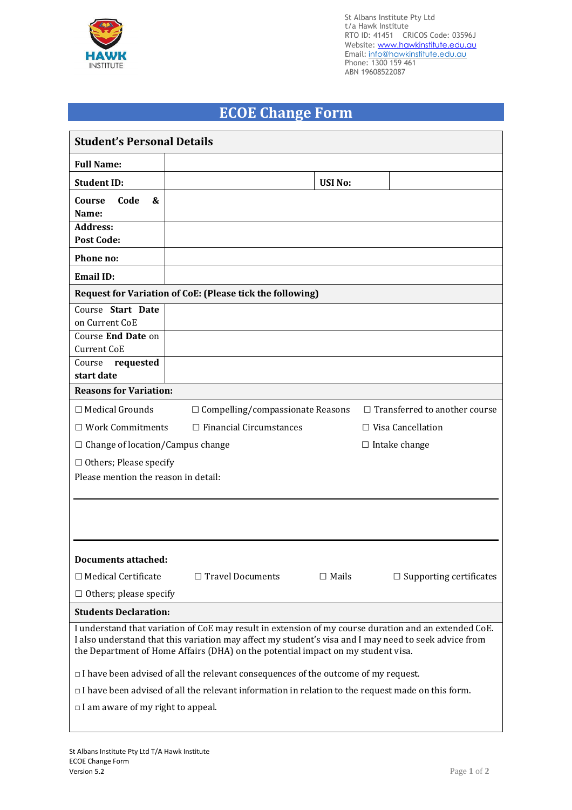

St Albans Institute Pty Ltd t/a Hawk Institute RTO ID: 41451 CRICOS Code: 03596J Website: www.hawkinstitute.edu.au Email: <u>[info@hawkinstitute.edu.au](mailto:info@hawkinstitute.edu.au)</u> Phone: 1300 159 461 ABN 19608522087

## **ECOE Change Form**

| <b>Student's Personal Details</b>                                                                                                                                                                                                                                                                  |                                                                 |               |                                      |  |  |  |  |
|----------------------------------------------------------------------------------------------------------------------------------------------------------------------------------------------------------------------------------------------------------------------------------------------------|-----------------------------------------------------------------|---------------|--------------------------------------|--|--|--|--|
| <b>Full Name:</b>                                                                                                                                                                                                                                                                                  |                                                                 |               |                                      |  |  |  |  |
| <b>Student ID:</b>                                                                                                                                                                                                                                                                                 |                                                                 | <b>USINo:</b> |                                      |  |  |  |  |
| Code<br>Course<br>&<br>Name:                                                                                                                                                                                                                                                                       |                                                                 |               |                                      |  |  |  |  |
| <b>Address:</b><br><b>Post Code:</b>                                                                                                                                                                                                                                                               |                                                                 |               |                                      |  |  |  |  |
| Phone no:                                                                                                                                                                                                                                                                                          |                                                                 |               |                                      |  |  |  |  |
| <b>Email ID:</b>                                                                                                                                                                                                                                                                                   |                                                                 |               |                                      |  |  |  |  |
| <b>Request for Variation of CoE: (Please tick the following)</b>                                                                                                                                                                                                                                   |                                                                 |               |                                      |  |  |  |  |
| Course Start Date<br>on Current CoE                                                                                                                                                                                                                                                                |                                                                 |               |                                      |  |  |  |  |
| Course End Date on<br>Current CoE                                                                                                                                                                                                                                                                  |                                                                 |               |                                      |  |  |  |  |
| requested<br>Course                                                                                                                                                                                                                                                                                |                                                                 |               |                                      |  |  |  |  |
| start date                                                                                                                                                                                                                                                                                         |                                                                 |               |                                      |  |  |  |  |
| <b>Reasons for Variation:</b>                                                                                                                                                                                                                                                                      |                                                                 |               |                                      |  |  |  |  |
| $\Box$ Medical Grounds                                                                                                                                                                                                                                                                             | $\Box$ Compelling/compassionate Reasons                         |               | $\Box$ Transferred to another course |  |  |  |  |
| $\Box$ Work Commitments                                                                                                                                                                                                                                                                            | $\Box$ Financial Circumstances                                  |               | $\Box$ Visa Cancellation             |  |  |  |  |
|                                                                                                                                                                                                                                                                                                    | $\Box$ Change of location/Campus change<br>$\Box$ Intake change |               |                                      |  |  |  |  |
| $\Box$ Others; Please specify<br>Please mention the reason in detail:                                                                                                                                                                                                                              |                                                                 |               |                                      |  |  |  |  |
|                                                                                                                                                                                                                                                                                                    |                                                                 |               |                                      |  |  |  |  |
| <b>Documents attached:</b>                                                                                                                                                                                                                                                                         |                                                                 |               |                                      |  |  |  |  |
| $\Box$ Medical Certificate                                                                                                                                                                                                                                                                         | $\Box$ Travel Documents                                         | $\Box$ Mails  | $\Box$ Supporting certificates       |  |  |  |  |
| $\Box$ Others; please specify                                                                                                                                                                                                                                                                      |                                                                 |               |                                      |  |  |  |  |
| <b>Students Declaration:</b>                                                                                                                                                                                                                                                                       |                                                                 |               |                                      |  |  |  |  |
| I understand that variation of CoE may result in extension of my course duration and an extended CoE.<br>I also understand that this variation may affect my student's visa and I may need to seek advice from<br>the Department of Home Affairs (DHA) on the potential impact on my student visa. |                                                                 |               |                                      |  |  |  |  |
| $\Box$ I have been advised of all the relevant consequences of the outcome of my request.                                                                                                                                                                                                          |                                                                 |               |                                      |  |  |  |  |
| $\Box$ I have been advised of all the relevant information in relation to the request made on this form.                                                                                                                                                                                           |                                                                 |               |                                      |  |  |  |  |
| $\Box$ I am aware of my right to appeal.                                                                                                                                                                                                                                                           |                                                                 |               |                                      |  |  |  |  |